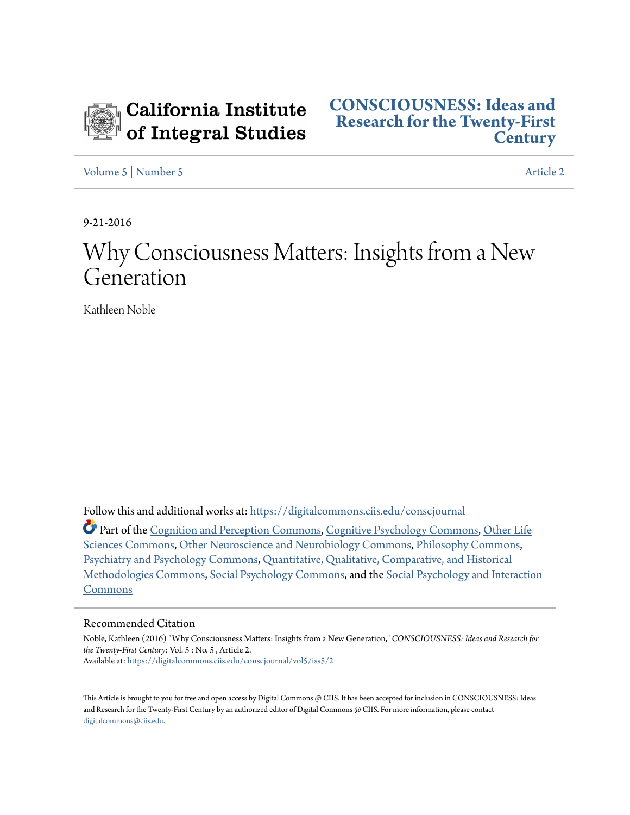

[Volume 5](https://digitalcommons.ciis.edu/conscjournal/vol5?utm_source=digitalcommons.ciis.edu%2Fconscjournal%2Fvol5%2Fiss5%2F2&utm_medium=PDF&utm_campaign=PDFCoverPages) | [Number 5](https://digitalcommons.ciis.edu/conscjournal/vol5/iss5?utm_source=digitalcommons.ciis.edu%2Fconscjournal%2Fvol5%2Fiss5%2F2&utm_medium=PDF&utm_campaign=PDFCoverPages) [Article 2](https://digitalcommons.ciis.edu/conscjournal/vol5/iss5/2?utm_source=digitalcommons.ciis.edu%2Fconscjournal%2Fvol5%2Fiss5%2F2&utm_medium=PDF&utm_campaign=PDFCoverPages)

9-21-2016

# Why Consciousness Matters: Insights from a New Generation

Kathleen Noble

Follow this and additional works at: [https://digitalcommons.ciis.edu/conscjournal](https://digitalcommons.ciis.edu/conscjournal?utm_source=digitalcommons.ciis.edu%2Fconscjournal%2Fvol5%2Fiss5%2F2&utm_medium=PDF&utm_campaign=PDFCoverPages)

Part of the [Cognition and Perception Commons](http://network.bepress.com/hgg/discipline/407?utm_source=digitalcommons.ciis.edu%2Fconscjournal%2Fvol5%2Fiss5%2F2&utm_medium=PDF&utm_campaign=PDFCoverPages), [Cognitive Psychology Commons](http://network.bepress.com/hgg/discipline/408?utm_source=digitalcommons.ciis.edu%2Fconscjournal%2Fvol5%2Fiss5%2F2&utm_medium=PDF&utm_campaign=PDFCoverPages), [Other Life](http://network.bepress.com/hgg/discipline/113?utm_source=digitalcommons.ciis.edu%2Fconscjournal%2Fvol5%2Fiss5%2F2&utm_medium=PDF&utm_campaign=PDFCoverPages) [Sciences Commons,](http://network.bepress.com/hgg/discipline/113?utm_source=digitalcommons.ciis.edu%2Fconscjournal%2Fvol5%2Fiss5%2F2&utm_medium=PDF&utm_campaign=PDFCoverPages) [Other Neuroscience and Neurobiology Commons,](http://network.bepress.com/hgg/discipline/62?utm_source=digitalcommons.ciis.edu%2Fconscjournal%2Fvol5%2Fiss5%2F2&utm_medium=PDF&utm_campaign=PDFCoverPages) [Philosophy Commons,](http://network.bepress.com/hgg/discipline/525?utm_source=digitalcommons.ciis.edu%2Fconscjournal%2Fvol5%2Fiss5%2F2&utm_medium=PDF&utm_campaign=PDFCoverPages) [Psychiatry and Psychology Commons,](http://network.bepress.com/hgg/discipline/908?utm_source=digitalcommons.ciis.edu%2Fconscjournal%2Fvol5%2Fiss5%2F2&utm_medium=PDF&utm_campaign=PDFCoverPages) [Quantitative, Qualitative, Comparative, and Historical](http://network.bepress.com/hgg/discipline/423?utm_source=digitalcommons.ciis.edu%2Fconscjournal%2Fvol5%2Fiss5%2F2&utm_medium=PDF&utm_campaign=PDFCoverPages) [Methodologies Commons](http://network.bepress.com/hgg/discipline/423?utm_source=digitalcommons.ciis.edu%2Fconscjournal%2Fvol5%2Fiss5%2F2&utm_medium=PDF&utm_campaign=PDFCoverPages), [Social Psychology Commons,](http://network.bepress.com/hgg/discipline/414?utm_source=digitalcommons.ciis.edu%2Fconscjournal%2Fvol5%2Fiss5%2F2&utm_medium=PDF&utm_campaign=PDFCoverPages) and the [Social Psychology and Interaction](http://network.bepress.com/hgg/discipline/430?utm_source=digitalcommons.ciis.edu%2Fconscjournal%2Fvol5%2Fiss5%2F2&utm_medium=PDF&utm_campaign=PDFCoverPages) [Commons](http://network.bepress.com/hgg/discipline/430?utm_source=digitalcommons.ciis.edu%2Fconscjournal%2Fvol5%2Fiss5%2F2&utm_medium=PDF&utm_campaign=PDFCoverPages)

#### Recommended Citation

Noble, Kathleen (2016) "Why Consciousness Matters: Insights from a New Generation," *CONSCIOUSNESS: Ideas and Research for the Twenty-First Century*: Vol. 5 : No. 5 , Article 2. Available at: [https://digitalcommons.ciis.edu/conscjournal/vol5/iss5/2](https://digitalcommons.ciis.edu/conscjournal/vol5/iss5/2?utm_source=digitalcommons.ciis.edu%2Fconscjournal%2Fvol5%2Fiss5%2F2&utm_medium=PDF&utm_campaign=PDFCoverPages)

This Article is brought to you for free and open access by Digital Commons @ CIIS. It has been accepted for inclusion in CONSCIOUSNESS: Ideas and Research for the Twenty-First Century by an authorized editor of Digital Commons @ CIIS. For more information, please contact [digitalcommons@ciis.edu.](mailto:digitalcommons@ciis.edu)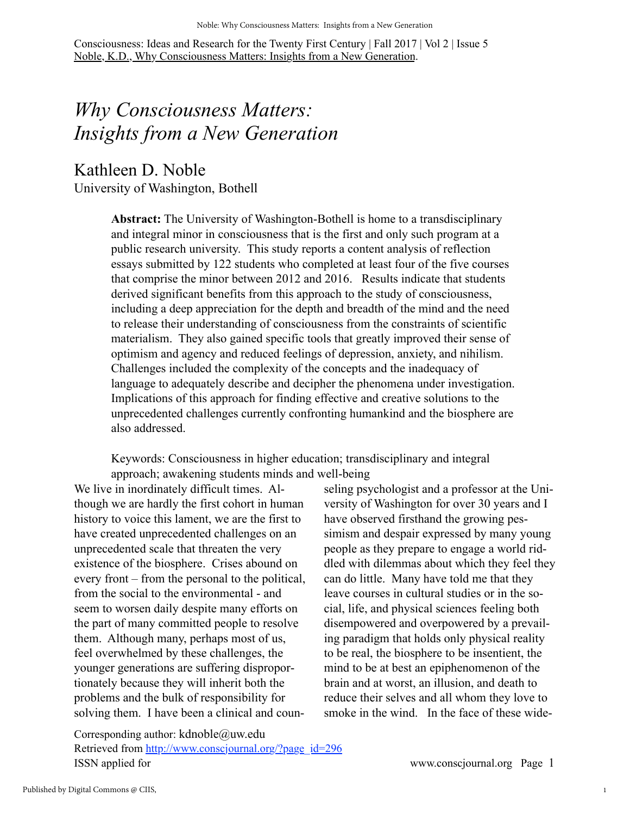## *Why Consciousness Matters: Insights from a New Generation*

## Kathleen D. Noble University of Washington, Bothell

**Abstract:** The University of Washington-Bothell is home to a transdisciplinary and integral minor in consciousness that is the first and only such program at a public research university. This study reports a content analysis of reflection essays submitted by 122 students who completed at least four of the five courses that comprise the minor between 2012 and 2016. Results indicate that students derived significant benefits from this approach to the study of consciousness, including a deep appreciation for the depth and breadth of the mind and the need to release their understanding of consciousness from the constraints of scientific materialism. They also gained specific tools that greatly improved their sense of optimism and agency and reduced feelings of depression, anxiety, and nihilism. Challenges included the complexity of the concepts and the inadequacy of language to adequately describe and decipher the phenomena under investigation. Implications of this approach for finding effective and creative solutions to the unprecedented challenges currently confronting humankind and the biosphere are also addressed.

Keywords: Consciousness in higher education; transdisciplinary and integral approach; awakening students minds and well-being

We live in inordinately difficult times. Although we are hardly the first cohort in human history to voice this lament, we are the first to have created unprecedented challenges on an unprecedented scale that threaten the very existence of the biosphere. Crises abound on every front – from the personal to the political, from the social to the environmental - and seem to worsen daily despite many efforts on the part of many committed people to resolve them. Although many, perhaps most of us, feel overwhelmed by these challenges, the younger generations are suffering disproportionately because they will inherit both the problems and the bulk of responsibility for solving them. I have been a clinical and coun-

seling psychologist and a professor at the University of Washington for over 30 years and I have observed firsthand the growing pessimism and despair expressed by many young people as they prepare to engage a world riddled with dilemmas about which they feel they can do little. Many have told me that they leave courses in cultural studies or in the social, life, and physical sciences feeling both disempowered and overpowered by a prevailing paradigm that holds only physical reality to be real, the biosphere to be insentient, the mind to be at best an epiphenomenon of the brain and at worst, an illusion, and death to reduce their selves and all whom they love to smoke in the wind. In the face of these wide-

Corresponding author: kdnoble@uw.edu Retrieved from [http://www.conscjournal.org/?page\\_id=296](http://www.conscjournal.org/?page_id=59) ISSN applied for www.conscjournal.org Page 1

1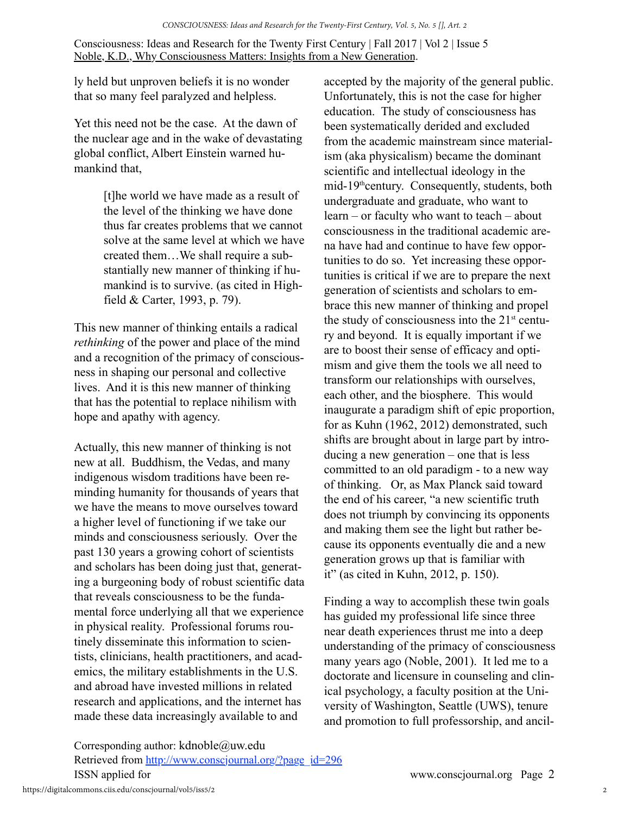ly held but unproven beliefs it is no wonder that so many feel paralyzed and helpless.

Yet this need not be the case. At the dawn of the nuclear age and in the wake of devastating global conflict, Albert Einstein warned humankind that,

> [t]he world we have made as a result of the level of the thinking we have done thus far creates problems that we cannot solve at the same level at which we have created them…We shall require a substantially new manner of thinking if humankind is to survive. (as cited in Highfield & Carter, 1993, p. 79).

This new manner of thinking entails a radical *rethinking* of the power and place of the mind and a recognition of the primacy of consciousness in shaping our personal and collective lives. And it is this new manner of thinking that has the potential to replace nihilism with hope and apathy with agency.

Actually, this new manner of thinking is not new at all. Buddhism, the Vedas, and many indigenous wisdom traditions have been reminding humanity for thousands of years that we have the means to move ourselves toward a higher level of functioning if we take our minds and consciousness seriously. Over the past 130 years a growing cohort of scientists and scholars has been doing just that, generating a burgeoning body of robust scientific data that reveals consciousness to be the fundamental force underlying all that we experience in physical reality. Professional forums routinely disseminate this information to scientists, clinicians, health practitioners, and academics, the military establishments in the U.S. and abroad have invested millions in related research and applications, and the internet has made these data increasingly available to and

accepted by the majority of the general public. Unfortunately, this is not the case for higher education. The study of consciousness has been systematically derided and excluded from the academic mainstream since materialism (aka physicalism) became the dominant scientific and intellectual ideology in the mid-19<sup>th</sup>century. Consequently, students, both undergraduate and graduate, who want to learn – or faculty who want to teach – about consciousness in the traditional academic arena have had and continue to have few opportunities to do so. Yet increasing these opportunities is critical if we are to prepare the next generation of scientists and scholars to embrace this new manner of thinking and propel the study of consciousness into the  $21<sup>st</sup>$  century and beyond. It is equally important if we are to boost their sense of efficacy and optimism and give them the tools we all need to transform our relationships with ourselves, each other, and the biosphere. This would inaugurate a paradigm shift of epic proportion, for as Kuhn (1962, 2012) demonstrated, such shifts are brought about in large part by introducing a new generation – one that is less committed to an old paradigm - to a new way of thinking. Or, as Max Planck said toward the end of his career, "a new scientific truth does not triumph by convincing its opponents and making them see the light but rather because its opponents eventually die and a new generation grows up that is familiar with it" (as cited in Kuhn, 2012, p. 150).

Finding a way to accomplish these twin goals has guided my professional life since three near death experiences thrust me into a deep understanding of the primacy of consciousness many years ago (Noble, 2001). It led me to a doctorate and licensure in counseling and clinical psychology, a faculty position at the University of Washington, Seattle (UWS), tenure and promotion to full professorship, and ancil-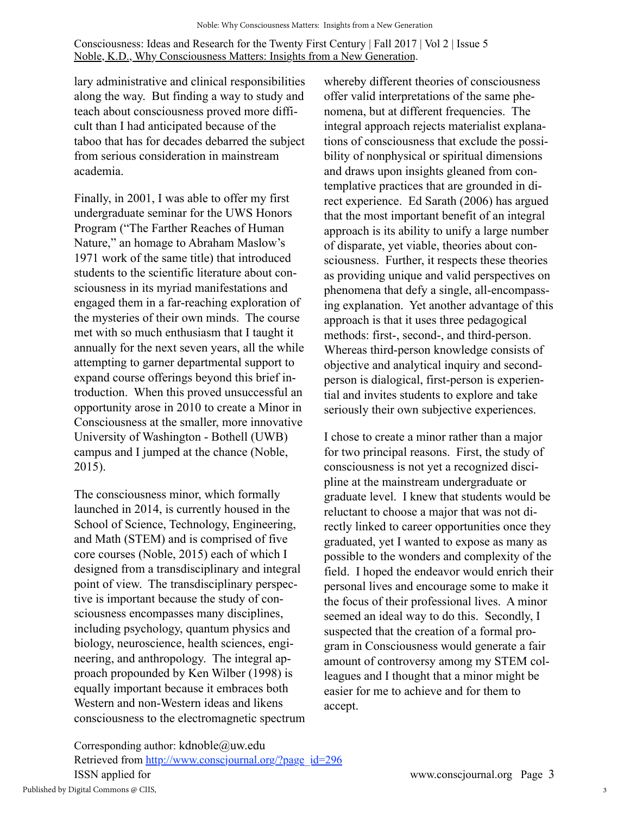lary administrative and clinical responsibilities along the way. But finding a way to study and teach about consciousness proved more difficult than I had anticipated because of the taboo that has for decades debarred the subject from serious consideration in mainstream academia.

Finally, in 2001, I was able to offer my first undergraduate seminar for the UWS Honors Program ("The Farther Reaches of Human Nature," an homage to Abraham Maslow's 1971 work of the same title) that introduced students to the scientific literature about consciousness in its myriad manifestations and engaged them in a far-reaching exploration of the mysteries of their own minds. The course met with so much enthusiasm that I taught it annually for the next seven years, all the while attempting to garner departmental support to expand course offerings beyond this brief introduction. When this proved unsuccessful an opportunity arose in 2010 to create a Minor in Consciousness at the smaller, more innovative University of Washington - Bothell (UWB) campus and I jumped at the chance (Noble, 2015).

The consciousness minor, which formally launched in 2014, is currently housed in the School of Science, Technology, Engineering, and Math (STEM) and is comprised of five core courses (Noble, 2015) each of which I designed from a transdisciplinary and integral point of view. The transdisciplinary perspective is important because the study of consciousness encompasses many disciplines, including psychology, quantum physics and biology, neuroscience, health sciences, engineering, and anthropology. The integral approach propounded by Ken Wilber (1998) is equally important because it embraces both Western and non-Western ideas and likens consciousness to the electromagnetic spectrum

whereby different theories of consciousness offer valid interpretations of the same phenomena, but at different frequencies. The integral approach rejects materialist explanations of consciousness that exclude the possibility of nonphysical or spiritual dimensions and draws upon insights gleaned from contemplative practices that are grounded in direct experience. Ed Sarath (2006) has argued that the most important benefit of an integral approach is its ability to unify a large number of disparate, yet viable, theories about consciousness. Further, it respects these theories as providing unique and valid perspectives on phenomena that defy a single, all-encompassing explanation. Yet another advantage of this approach is that it uses three pedagogical methods: first-, second-, and third-person. Whereas third-person knowledge consists of objective and analytical inquiry and secondperson is dialogical, first-person is experiential and invites students to explore and take seriously their own subjective experiences.

I chose to create a minor rather than a major for two principal reasons. First, the study of consciousness is not yet a recognized discipline at the mainstream undergraduate or graduate level. I knew that students would be reluctant to choose a major that was not directly linked to career opportunities once they graduated, yet I wanted to expose as many as possible to the wonders and complexity of the field. I hoped the endeavor would enrich their personal lives and encourage some to make it the focus of their professional lives. A minor seemed an ideal way to do this. Secondly, I suspected that the creation of a formal program in Consciousness would generate a fair amount of controversy among my STEM colleagues and I thought that a minor might be easier for me to achieve and for them to accept.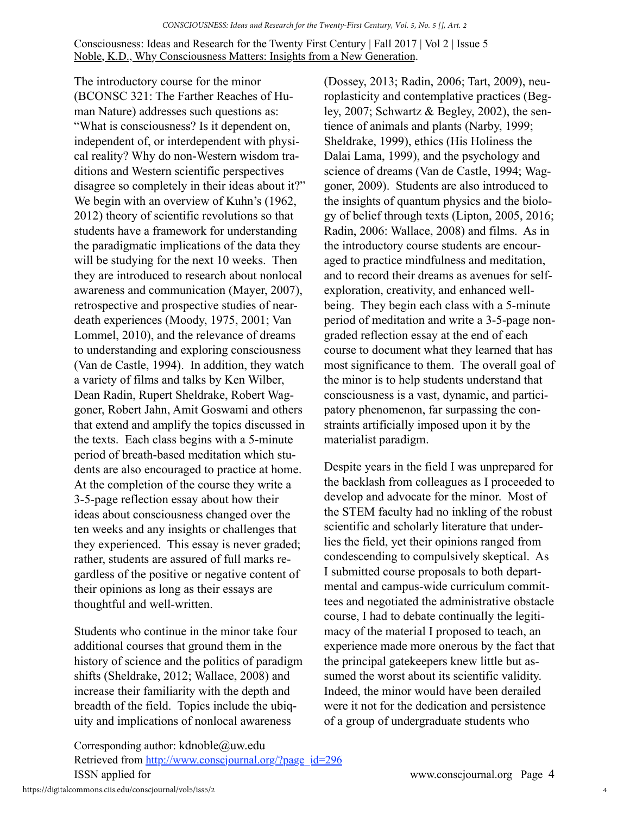The introductory course for the minor (BCONSC 321: The Farther Reaches of Human Nature) addresses such questions as: "What is consciousness? Is it dependent on, independent of, or interdependent with physical reality? Why do non-Western wisdom traditions and Western scientific perspectives disagree so completely in their ideas about it?" We begin with an overview of Kuhn's (1962, 2012) theory of scientific revolutions so that students have a framework for understanding the paradigmatic implications of the data they will be studying for the next 10 weeks. Then they are introduced to research about nonlocal awareness and communication (Mayer, 2007), retrospective and prospective studies of neardeath experiences (Moody, 1975, 2001; Van Lommel, 2010), and the relevance of dreams to understanding and exploring consciousness (Van de Castle, 1994). In addition, they watch a variety of films and talks by Ken Wilber, Dean Radin, Rupert Sheldrake, Robert Waggoner, Robert Jahn, Amit Goswami and others that extend and amplify the topics discussed in the texts. Each class begins with a 5-minute period of breath-based meditation which students are also encouraged to practice at home. At the completion of the course they write a 3-5-page reflection essay about how their ideas about consciousness changed over the ten weeks and any insights or challenges that they experienced. This essay is never graded; rather, students are assured of full marks regardless of the positive or negative content of their opinions as long as their essays are thoughtful and well-written.

Students who continue in the minor take four additional courses that ground them in the history of science and the politics of paradigm shifts (Sheldrake, 2012; Wallace, 2008) and increase their familiarity with the depth and breadth of the field. Topics include the ubiquity and implications of nonlocal awareness

(Dossey, 2013; Radin, 2006; Tart, 2009), neuroplasticity and contemplative practices (Begley, 2007; Schwartz & Begley, 2002), the sentience of animals and plants (Narby, 1999; Sheldrake, 1999), ethics (His Holiness the Dalai Lama, 1999), and the psychology and science of dreams (Van de Castle, 1994; Waggoner, 2009). Students are also introduced to the insights of quantum physics and the biology of belief through texts (Lipton, 2005, 2016; Radin, 2006: Wallace, 2008) and films. As in the introductory course students are encouraged to practice mindfulness and meditation, and to record their dreams as avenues for selfexploration, creativity, and enhanced wellbeing. They begin each class with a 5-minute period of meditation and write a 3-5-page nongraded reflection essay at the end of each course to document what they learned that has most significance to them. The overall goal of the minor is to help students understand that consciousness is a vast, dynamic, and participatory phenomenon, far surpassing the constraints artificially imposed upon it by the materialist paradigm.

Despite years in the field I was unprepared for the backlash from colleagues as I proceeded to develop and advocate for the minor. Most of the STEM faculty had no inkling of the robust scientific and scholarly literature that underlies the field, yet their opinions ranged from condescending to compulsively skeptical. As I submitted course proposals to both departmental and campus-wide curriculum committees and negotiated the administrative obstacle course, I had to debate continually the legitimacy of the material I proposed to teach, an experience made more onerous by the fact that the principal gatekeepers knew little but assumed the worst about its scientific validity. Indeed, the minor would have been derailed were it not for the dedication and persistence of a group of undergraduate students who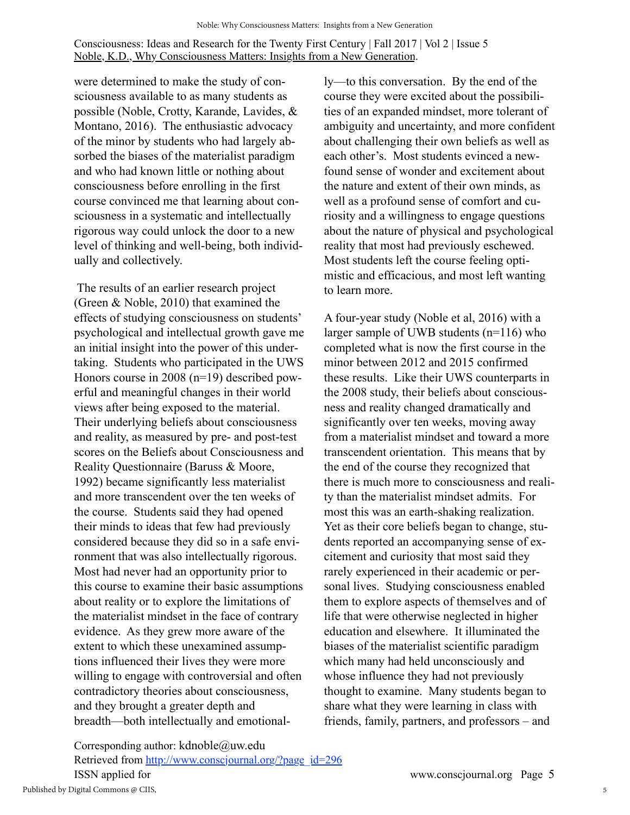were determined to make the study of consciousness available to as many students as possible (Noble, Crotty, Karande, Lavides, & Montano, 2016). The enthusiastic advocacy of the minor by students who had largely absorbed the biases of the materialist paradigm and who had known little or nothing about consciousness before enrolling in the first course convinced me that learning about consciousness in a systematic and intellectually rigorous way could unlock the door to a new level of thinking and well-being, both individually and collectively.

 The results of an earlier research project (Green & Noble, 2010) that examined the effects of studying consciousness on students' psychological and intellectual growth gave me an initial insight into the power of this undertaking. Students who participated in the UWS Honors course in 2008 (n=19) described powerful and meaningful changes in their world views after being exposed to the material. Their underlying beliefs about consciousness and reality, as measured by pre- and post-test scores on the Beliefs about Consciousness and Reality Questionnaire (Baruss & Moore, 1992) became significantly less materialist and more transcendent over the ten weeks of the course. Students said they had opened their minds to ideas that few had previously considered because they did so in a safe environment that was also intellectually rigorous. Most had never had an opportunity prior to this course to examine their basic assumptions about reality or to explore the limitations of the materialist mindset in the face of contrary evidence. As they grew more aware of the extent to which these unexamined assumptions influenced their lives they were more willing to engage with controversial and often contradictory theories about consciousness, and they brought a greater depth and breadth—both intellectually and emotionally—to this conversation. By the end of the course they were excited about the possibilities of an expanded mindset, more tolerant of ambiguity and uncertainty, and more confident about challenging their own beliefs as well as each other's. Most students evinced a newfound sense of wonder and excitement about the nature and extent of their own minds, as well as a profound sense of comfort and curiosity and a willingness to engage questions about the nature of physical and psychological reality that most had previously eschewed. Most students left the course feeling optimistic and efficacious, and most left wanting to learn more.

A four-year study (Noble et al, 2016) with a larger sample of UWB students (n=116) who completed what is now the first course in the minor between 2012 and 2015 confirmed these results. Like their UWS counterparts in the 2008 study, their beliefs about consciousness and reality changed dramatically and significantly over ten weeks, moving away from a materialist mindset and toward a more transcendent orientation. This means that by the end of the course they recognized that there is much more to consciousness and reality than the materialist mindset admits. For most this was an earth-shaking realization. Yet as their core beliefs began to change, students reported an accompanying sense of excitement and curiosity that most said they rarely experienced in their academic or personal lives. Studying consciousness enabled them to explore aspects of themselves and of life that were otherwise neglected in higher education and elsewhere. It illuminated the biases of the materialist scientific paradigm which many had held unconsciously and whose influence they had not previously thought to examine. Many students began to share what they were learning in class with friends, family, partners, and professors – and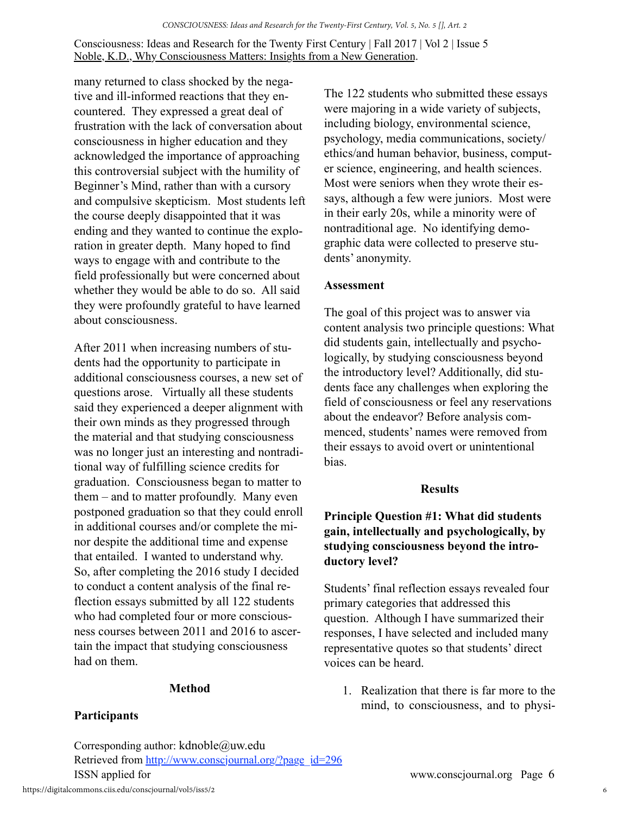many returned to class shocked by the negative and ill-informed reactions that they encountered. They expressed a great deal of frustration with the lack of conversation about consciousness in higher education and they acknowledged the importance of approaching this controversial subject with the humility of Beginner's Mind, rather than with a cursory and compulsive skepticism. Most students left the course deeply disappointed that it was ending and they wanted to continue the exploration in greater depth. Many hoped to find ways to engage with and contribute to the field professionally but were concerned about whether they would be able to do so. All said they were profoundly grateful to have learned about consciousness.

After 2011 when increasing numbers of students had the opportunity to participate in additional consciousness courses, a new set of questions arose. Virtually all these students said they experienced a deeper alignment with their own minds as they progressed through the material and that studying consciousness was no longer just an interesting and nontraditional way of fulfilling science credits for graduation. Consciousness began to matter to them – and to matter profoundly. Many even postponed graduation so that they could enroll in additional courses and/or complete the minor despite the additional time and expense that entailed. I wanted to understand why. So, after completing the 2016 study I decided to conduct a content analysis of the final reflection essays submitted by all 122 students who had completed four or more consciousness courses between 2011 and 2016 to ascertain the impact that studying consciousness had on them.

#### **Method**

## **Participants**

Corresponding author: kdnoble@uw.edu Retrieved from [http://www.conscjournal.org/?page\\_id=296](http://www.conscjournal.org/?page_id=59) ISSN applied for www.conscjournal.org Page 6

The 122 students who submitted these essays were majoring in a wide variety of subjects, including biology, environmental science, psychology, media communications, society/ ethics/and human behavior, business, computer science, engineering, and health sciences. Most were seniors when they wrote their essays, although a few were juniors. Most were in their early 20s, while a minority were of nontraditional age. No identifying demographic data were collected to preserve students' anonymity.

#### **Assessment**

The goal of this project was to answer via content analysis two principle questions: What did students gain, intellectually and psychologically, by studying consciousness beyond the introductory level? Additionally, did students face any challenges when exploring the field of consciousness or feel any reservations about the endeavor? Before analysis commenced, students' names were removed from their essays to avoid overt or unintentional bias.

#### **Results**

## **Principle Question #1: What did students gain, intellectually and psychologically, by studying consciousness beyond the introductory level?**

Students' final reflection essays revealed four primary categories that addressed this question. Although I have summarized their responses, I have selected and included many representative quotes so that students' direct voices can be heard.

1. Realization that there is far more to the mind, to consciousness, and to physi-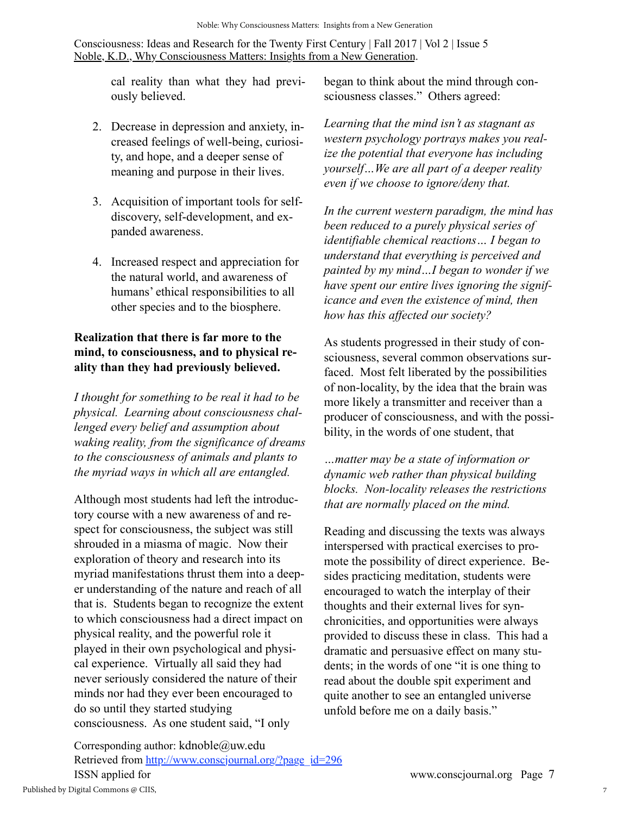cal reality than what they had previously believed.

- 2. Decrease in depression and anxiety, increased feelings of well-being, curiosity, and hope, and a deeper sense of meaning and purpose in their lives.
- 3. Acquisition of important tools for selfdiscovery, self-development, and expanded awareness.
- 4. Increased respect and appreciation for the natural world, and awareness of humans' ethical responsibilities to all other species and to the biosphere.

## **Realization that there is far more to the mind, to consciousness, and to physical reality than they had previously believed.**

*I thought for something to be real it had to be physical. Learning about consciousness challenged every belief and assumption about waking reality, from the significance of dreams to the consciousness of animals and plants to the myriad ways in which all are entangled.*

Although most students had left the introductory course with a new awareness of and respect for consciousness, the subject was still shrouded in a miasma of magic. Now their exploration of theory and research into its myriad manifestations thrust them into a deeper understanding of the nature and reach of all that is. Students began to recognize the extent to which consciousness had a direct impact on physical reality, and the powerful role it played in their own psychological and physical experience. Virtually all said they had never seriously considered the nature of their minds nor had they ever been encouraged to do so until they started studying consciousness. As one student said, "I only

began to think about the mind through consciousness classes." Others agreed:

*Learning that the mind isn't as stagnant as western psychology portrays makes you realize the potential that everyone has including yourself…We are all part of a deeper reality even if we choose to ignore/deny that.*

*In the current western paradigm, the mind has been reduced to a purely physical series of identifiable chemical reactions… I began to understand that everything is perceived and painted by my mind…I began to wonder if we have spent our entire lives ignoring the significance and even the existence of mind, then how has this affected our society?*

As students progressed in their study of consciousness, several common observations surfaced. Most felt liberated by the possibilities of non-locality, by the idea that the brain was more likely a transmitter and receiver than a producer of consciousness, and with the possibility, in the words of one student, that

*…matter may be a state of information or dynamic web rather than physical building blocks. Non-locality releases the restrictions that are normally placed on the mind.*

Reading and discussing the texts was always interspersed with practical exercises to promote the possibility of direct experience. Besides practicing meditation, students were encouraged to watch the interplay of their thoughts and their external lives for synchronicities, and opportunities were always provided to discuss these in class. This had a dramatic and persuasive effect on many students; in the words of one "it is one thing to read about the double spit experiment and quite another to see an entangled universe unfold before me on a daily basis."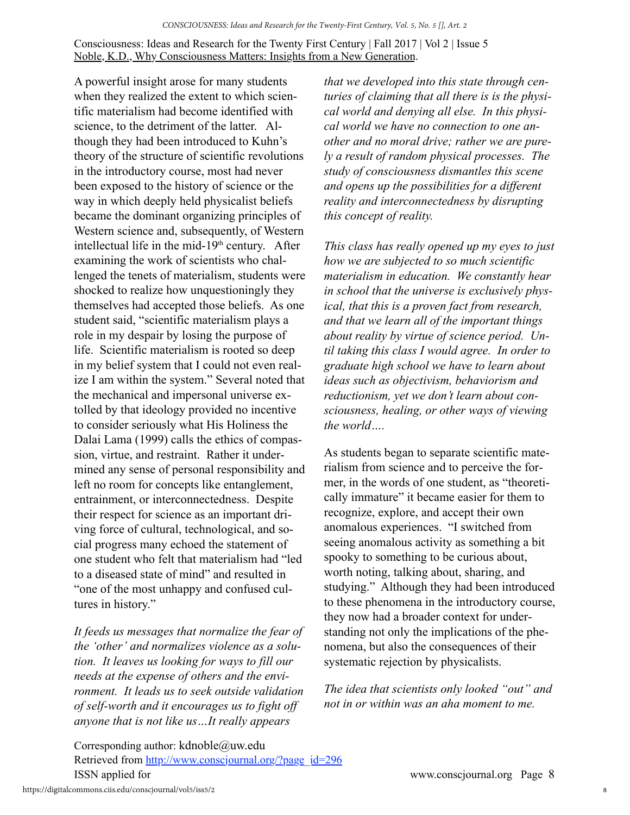A powerful insight arose for many students when they realized the extent to which scientific materialism had become identified with science, to the detriment of the latter. Although they had been introduced to Kuhn's theory of the structure of scientific revolutions in the introductory course, most had never been exposed to the history of science or the way in which deeply held physicalist beliefs became the dominant organizing principles of Western science and, subsequently, of Western intellectual life in the mid-19<sup>th</sup> century. After examining the work of scientists who challenged the tenets of materialism, students were shocked to realize how unquestioningly they themselves had accepted those beliefs. As one student said, "scientific materialism plays a role in my despair by losing the purpose of life. Scientific materialism is rooted so deep in my belief system that I could not even realize I am within the system." Several noted that the mechanical and impersonal universe extolled by that ideology provided no incentive to consider seriously what His Holiness the Dalai Lama (1999) calls the ethics of compassion, virtue, and restraint. Rather it undermined any sense of personal responsibility and left no room for concepts like entanglement, entrainment, or interconnectedness. Despite their respect for science as an important driving force of cultural, technological, and social progress many echoed the statement of one student who felt that materialism had "led to a diseased state of mind" and resulted in "one of the most unhappy and confused cultures in history."

*It feeds us messages that normalize the fear of the 'other' and normalizes violence as a solution. It leaves us looking for ways to fill our needs at the expense of others and the environment. It leads us to seek outside validation of self-worth and it encourages us to fight off anyone that is not like us…It really appears* 

*that we developed into this state through centuries of claiming that all there is is the physical world and denying all else. In this physical world we have no connection to one another and no moral drive; rather we are purely a result of random physical processes. The study of consciousness dismantles this scene and opens up the possibilities for a different reality and interconnectedness by disrupting this concept of reality.*

*This class has really opened up my eyes to just how we are subjected to so much scientific materialism in education. We constantly hear in school that the universe is exclusively physical, that this is a proven fact from research, and that we learn all of the important things about reality by virtue of science period. Until taking this class I would agree. In order to graduate high school we have to learn about ideas such as objectivism, behaviorism and reductionism, yet we don't learn about consciousness, healing, or other ways of viewing the world….*

As students began to separate scientific materialism from science and to perceive the former, in the words of one student, as "theoretically immature" it became easier for them to recognize, explore, and accept their own anomalous experiences. "I switched from seeing anomalous activity as something a bit spooky to something to be curious about, worth noting, talking about, sharing, and studying." Although they had been introduced to these phenomena in the introductory course, they now had a broader context for understanding not only the implications of the phenomena, but also the consequences of their systematic rejection by physicalists.

*The idea that scientists only looked "out" and not in or within was an aha moment to me.*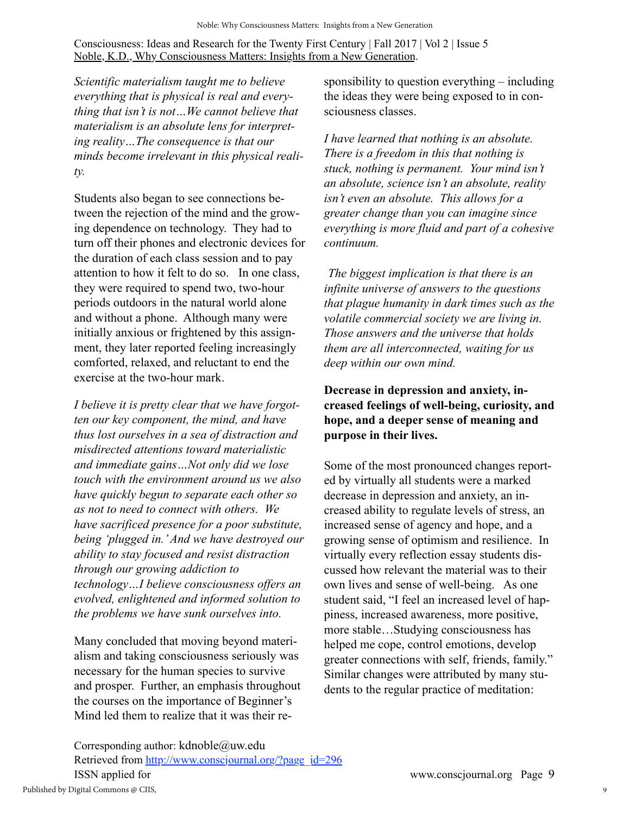*Scientific materialism taught me to believe everything that is physical is real and everything that isn't is not…We cannot believe that materialism is an absolute lens for interpreting reality…The consequence is that our minds become irrelevant in this physical reality.*

Students also began to see connections between the rejection of the mind and the growing dependence on technology. They had to turn off their phones and electronic devices for the duration of each class session and to pay attention to how it felt to do so. In one class, they were required to spend two, two-hour periods outdoors in the natural world alone and without a phone. Although many were initially anxious or frightened by this assignment, they later reported feeling increasingly comforted, relaxed, and reluctant to end the exercise at the two-hour mark.

*I believe it is pretty clear that we have forgotten our key component, the mind, and have thus lost ourselves in a sea of distraction and misdirected attentions toward materialistic and immediate gains…Not only did we lose touch with the environment around us we also have quickly begun to separate each other so as not to need to connect with others. We have sacrificed presence for a poor substitute, being 'plugged in.' And we have destroyed our ability to stay focused and resist distraction through our growing addiction to technology…I believe consciousness offers an evolved, enlightened and informed solution to the problems we have sunk ourselves into.*

Many concluded that moving beyond materialism and taking consciousness seriously was necessary for the human species to survive and prosper. Further, an emphasis throughout the courses on the importance of Beginner's Mind led them to realize that it was their responsibility to question everything – including the ideas they were being exposed to in consciousness classes.

*I have learned that nothing is an absolute. There is a freedom in this that nothing is stuck, nothing is permanent. Your mind isn't an absolute, science isn't an absolute, reality isn't even an absolute. This allows for a greater change than you can imagine since everything is more fluid and part of a cohesive continuum.*

*The biggest implication is that there is an infinite universe of answers to the questions that plague humanity in dark times such as the volatile commercial society we are living in. Those answers and the universe that holds them are all interconnected, waiting for us deep within our own mind.*

## **Decrease in depression and anxiety, increased feelings of well-being, curiosity, and hope, and a deeper sense of meaning and purpose in their lives.**

Some of the most pronounced changes reported by virtually all students were a marked decrease in depression and anxiety, an increased ability to regulate levels of stress, an increased sense of agency and hope, and a growing sense of optimism and resilience. In virtually every reflection essay students discussed how relevant the material was to their own lives and sense of well-being. As one student said, "I feel an increased level of happiness, increased awareness, more positive, more stable…Studying consciousness has helped me cope, control emotions, develop greater connections with self, friends, family." Similar changes were attributed by many students to the regular practice of meditation: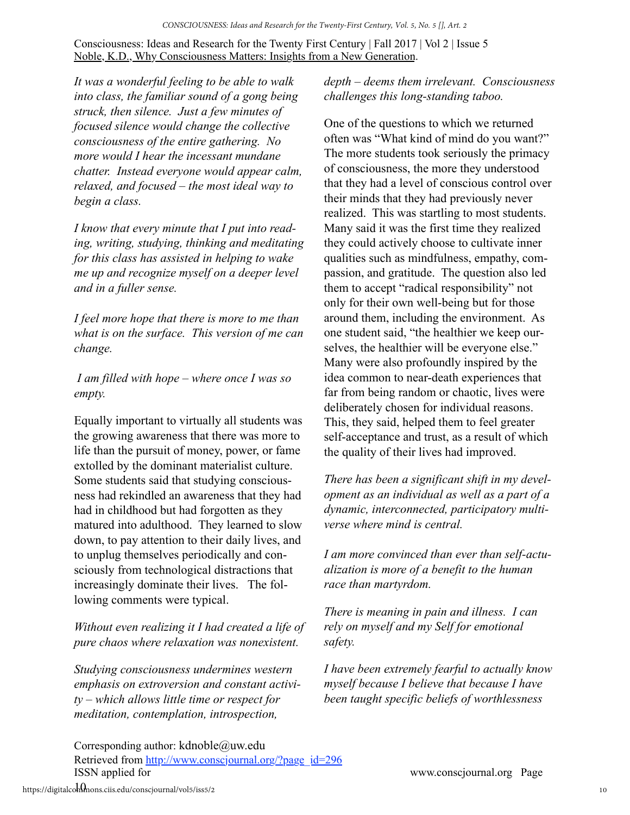*It was a wonderful feeling to be able to walk into class, the familiar sound of a gong being struck, then silence. Just a few minutes of focused silence would change the collective consciousness of the entire gathering. No more would I hear the incessant mundane chatter. Instead everyone would appear calm, relaxed, and focused – the most ideal way to begin a class.*

*I know that every minute that I put into reading, writing, studying, thinking and meditating for this class has assisted in helping to wake me up and recognize myself on a deeper level and in a fuller sense.*

*I feel more hope that there is more to me than what is on the surface. This version of me can change.*

 *I am filled with hope – where once I was so empty.*

Equally important to virtually all students was the growing awareness that there was more to life than the pursuit of money, power, or fame extolled by the dominant materialist culture. Some students said that studying consciousness had rekindled an awareness that they had had in childhood but had forgotten as they matured into adulthood. They learned to slow down, to pay attention to their daily lives, and to unplug themselves periodically and consciously from technological distractions that increasingly dominate their lives. The following comments were typical.

*Without even realizing it I had created a life of pure chaos where relaxation was nonexistent.*

*Studying consciousness undermines western emphasis on extroversion and constant activity – which allows little time or respect for meditation, contemplation, introspection,* 

*depth – deems them irrelevant. Consciousness challenges this long-standing taboo.*

One of the questions to which we returned often was "What kind of mind do you want?" The more students took seriously the primacy of consciousness, the more they understood that they had a level of conscious control over their minds that they had previously never realized. This was startling to most students. Many said it was the first time they realized they could actively choose to cultivate inner qualities such as mindfulness, empathy, compassion, and gratitude. The question also led them to accept "radical responsibility" not only for their own well-being but for those around them, including the environment. As one student said, "the healthier we keep ourselves, the healthier will be everyone else." Many were also profoundly inspired by the idea common to near-death experiences that far from being random or chaotic, lives were deliberately chosen for individual reasons. This, they said, helped them to feel greater self-acceptance and trust, as a result of which the quality of their lives had improved.

*There has been a significant shift in my development as an individual as well as a part of a dynamic, interconnected, participatory multiverse where mind is central.*

*I am more convinced than ever than self-actualization is more of a benefit to the human race than martyrdom.* 

*There is meaning in pain and illness. I can rely on myself and my Self for emotional safety.* 

*I have been extremely fearful to actually know myself because I believe that because I have been taught specific beliefs of worthlessness*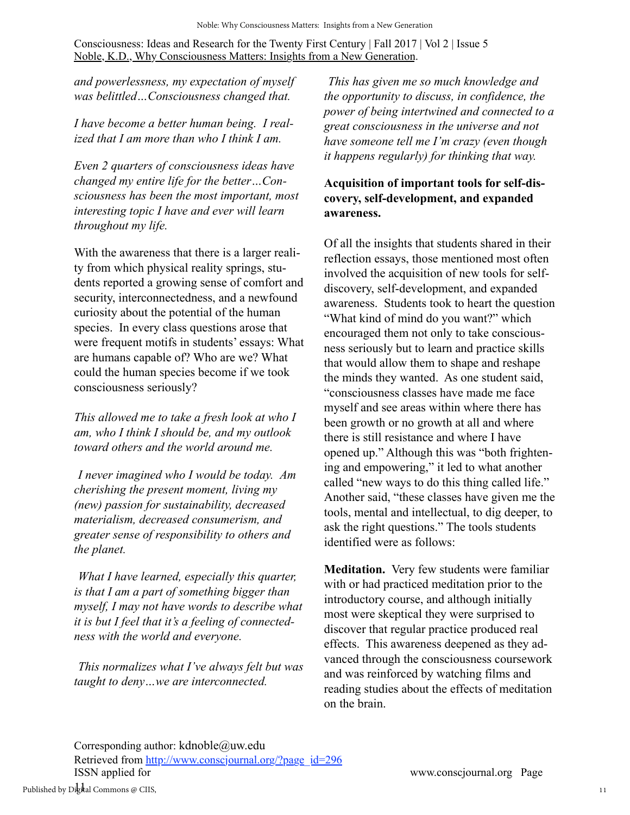*and powerlessness, my expectation of myself was belittled…Consciousness changed that.*

*I have become a better human being. I realized that I am more than who I think I am.*

*Even 2 quarters of consciousness ideas have changed my entire life for the better…Consciousness has been the most important, most interesting topic I have and ever will learn throughout my life.*

With the awareness that there is a larger reality from which physical reality springs, students reported a growing sense of comfort and security, interconnectedness, and a newfound curiosity about the potential of the human species. In every class questions arose that were frequent motifs in students' essays: What are humans capable of? Who are we? What could the human species become if we took consciousness seriously?

*This allowed me to take a fresh look at who I am, who I think I should be, and my outlook toward others and the world around me.*

*I never imagined who I would be today. Am cherishing the present moment, living my (new) passion for sustainability, decreased materialism, decreased consumerism, and greater sense of responsibility to others and the planet.*

*What I have learned, especially this quarter, is that I am a part of something bigger than myself, I may not have words to describe what it is but I feel that it's a feeling of connectedness with the world and everyone.*

*This normalizes what I've always felt but was taught to deny…we are interconnected.*

*This has given me so much knowledge and the opportunity to discuss, in confidence, the power of being intertwined and connected to a great consciousness in the universe and not have someone tell me I'm crazy (even though it happens regularly) for thinking that way.*

## **Acquisition of important tools for self-discovery, self-development, and expanded awareness.**

Of all the insights that students shared in their reflection essays, those mentioned most often involved the acquisition of new tools for selfdiscovery, self-development, and expanded awareness. Students took to heart the question "What kind of mind do you want?" which encouraged them not only to take consciousness seriously but to learn and practice skills that would allow them to shape and reshape the minds they wanted. As one student said, "consciousness classes have made me face myself and see areas within where there has been growth or no growth at all and where there is still resistance and where I have opened up." Although this was "both frightening and empowering," it led to what another called "new ways to do this thing called life." Another said, "these classes have given me the tools, mental and intellectual, to dig deeper, to ask the right questions." The tools students identified were as follows:

**Meditation.** Very few students were familiar with or had practiced meditation prior to the introductory course, and although initially most were skeptical they were surprised to discover that regular practice produced real effects. This awareness deepened as they advanced through the consciousness coursework and was reinforced by watching films and reading studies about the effects of meditation on the brain.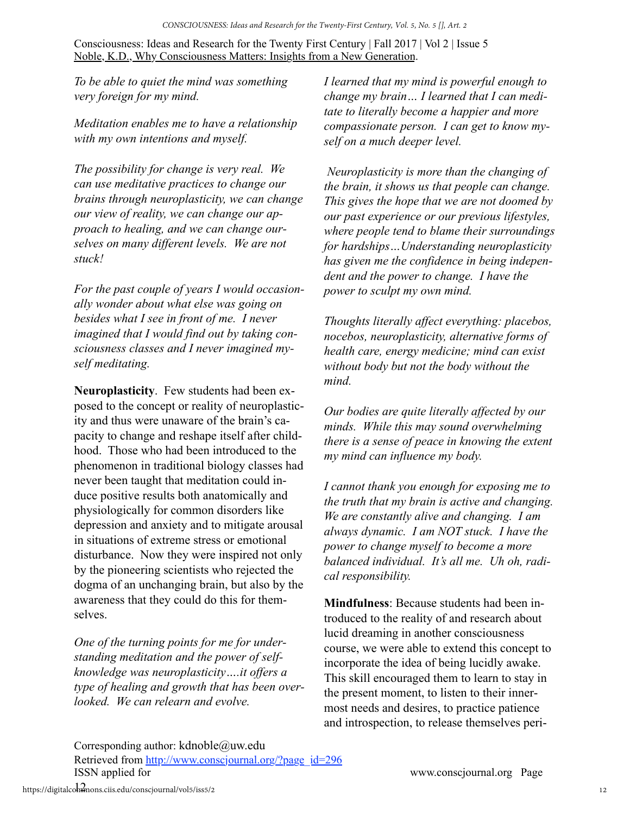*To be able to quiet the mind was something very foreign for my mind.*

*Meditation enables me to have a relationship with my own intentions and myself.*

*The possibility for change is very real. We can use meditative practices to change our brains through neuroplasticity, we can change our view of reality, we can change our approach to healing, and we can change ourselves on many different levels. We are not stuck!*

*For the past couple of years I would occasionally wonder about what else was going on besides what I see in front of me. I never imagined that I would find out by taking consciousness classes and I never imagined myself meditating.*

**Neuroplasticity**. Few students had been exposed to the concept or reality of neuroplasticity and thus were unaware of the brain's capacity to change and reshape itself after childhood. Those who had been introduced to the phenomenon in traditional biology classes had never been taught that meditation could induce positive results both anatomically and physiologically for common disorders like depression and anxiety and to mitigate arousal in situations of extreme stress or emotional disturbance. Now they were inspired not only by the pioneering scientists who rejected the dogma of an unchanging brain, but also by the awareness that they could do this for themselves.

*One of the turning points for me for understanding meditation and the power of selfknowledge was neuroplasticity….it offers a type of healing and growth that has been overlooked. We can relearn and evolve.*

*I learned that my mind is powerful enough to change my brain… I learned that I can meditate to literally become a happier and more compassionate person. I can get to know myself on a much deeper level.*

*Neuroplasticity is more than the changing of the brain, it shows us that people can change. This gives the hope that we are not doomed by our past experience or our previous lifestyles, where people tend to blame their surroundings for hardships…Understanding neuroplasticity has given me the confidence in being independent and the power to change. I have the power to sculpt my own mind.*

*Thoughts literally affect everything: placebos, nocebos, neuroplasticity, alternative forms of health care, energy medicine; mind can exist without body but not the body without the mind.* 

*Our bodies are quite literally affected by our minds. While this may sound overwhelming there is a sense of peace in knowing the extent my mind can influence my body.*

*I cannot thank you enough for exposing me to the truth that my brain is active and changing. We are constantly alive and changing. I am always dynamic. I am NOT stuck. I have the power to change myself to become a more balanced individual. It's all me. Uh oh, radical responsibility.*

**Mindfulness**: Because students had been introduced to the reality of and research about lucid dreaming in another consciousness course, we were able to extend this concept to incorporate the idea of being lucidly awake. This skill encouraged them to learn to stay in the present moment, to listen to their innermost needs and desires, to practice patience and introspection, to release themselves peri-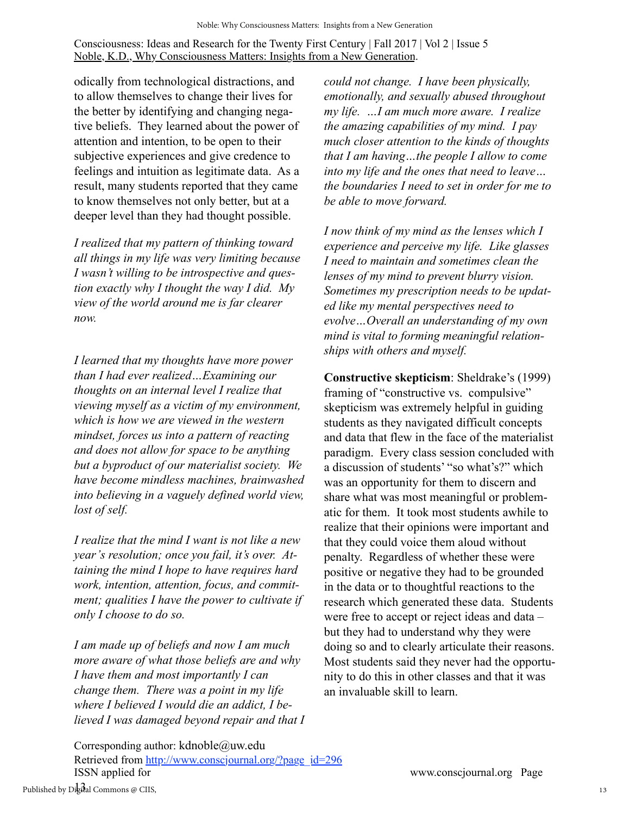odically from technological distractions, and to allow themselves to change their lives for the better by identifying and changing negative beliefs. They learned about the power of attention and intention, to be open to their subjective experiences and give credence to feelings and intuition as legitimate data. As a result, many students reported that they came to know themselves not only better, but at a deeper level than they had thought possible.

*I realized that my pattern of thinking toward all things in my life was very limiting because I wasn't willing to be introspective and question exactly why I thought the way I did. My view of the world around me is far clearer now.*

*I learned that my thoughts have more power than I had ever realized…Examining our thoughts on an internal level I realize that viewing myself as a victim of my environment, which is how we are viewed in the western mindset, forces us into a pattern of reacting and does not allow for space to be anything but a byproduct of our materialist society. We have become mindless machines, brainwashed into believing in a vaguely defined world view, lost of self.*

*I realize that the mind I want is not like a new year's resolution; once you fail, it's over. Attaining the mind I hope to have requires hard work, intention, attention, focus, and commitment; qualities I have the power to cultivate if only I choose to do so.*

*I am made up of beliefs and now I am much more aware of what those beliefs are and why I have them and most importantly I can change them. There was a point in my life where I believed I would die an addict, I believed I was damaged beyond repair and that I* 

Corresponding author: kdnoble@uw.edu Retrieved from [http://www.conscjournal.org/?page\\_id=296](http://www.conscjournal.org/?page_id=59) ISSN applied for www.conscjournal.org Page

*could not change. I have been physically, emotionally, and sexually abused throughout my life. …I am much more aware. I realize the amazing capabilities of my mind. I pay much closer attention to the kinds of thoughts that I am having…the people I allow to come into my life and the ones that need to leave… the boundaries I need to set in order for me to be able to move forward.*

*I now think of my mind as the lenses which I experience and perceive my life. Like glasses I need to maintain and sometimes clean the lenses of my mind to prevent blurry vision. Sometimes my prescription needs to be updated like my mental perspectives need to evolve…Overall an understanding of my own mind is vital to forming meaningful relationships with others and myself.*

**Constructive skepticism**: Sheldrake's (1999) framing of "constructive vs. compulsive" skepticism was extremely helpful in guiding students as they navigated difficult concepts and data that flew in the face of the materialist paradigm. Every class session concluded with a discussion of students' "so what's?" which was an opportunity for them to discern and share what was most meaningful or problematic for them. It took most students awhile to realize that their opinions were important and that they could voice them aloud without penalty. Regardless of whether these were positive or negative they had to be grounded in the data or to thoughtful reactions to the research which generated these data. Students were free to accept or reject ideas and data – but they had to understand why they were doing so and to clearly articulate their reasons. Most students said they never had the opportunity to do this in other classes and that it was an invaluable skill to learn.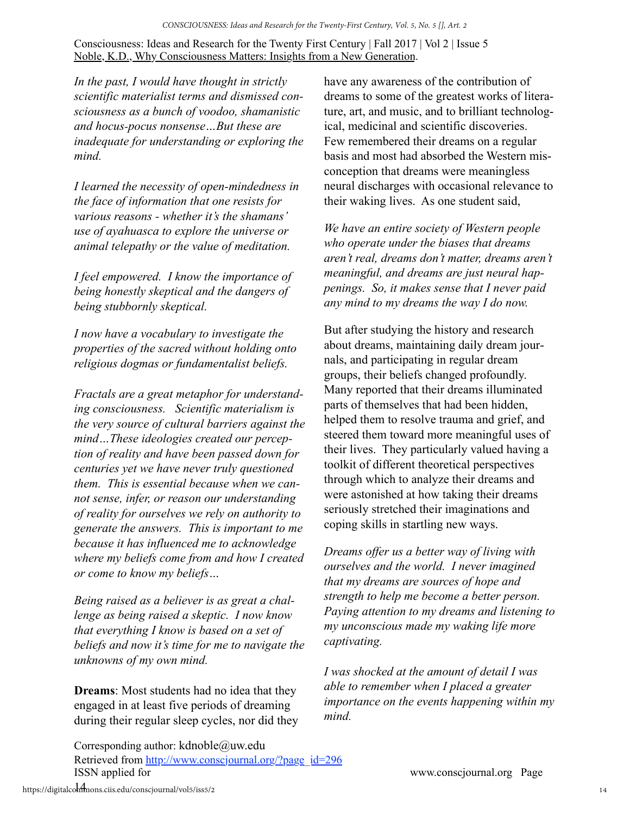*In the past, I would have thought in strictly scientific materialist terms and dismissed consciousness as a bunch of voodoo, shamanistic and hocus-pocus nonsense…But these are inadequate for understanding or exploring the mind.*

*I learned the necessity of open-mindedness in the face of information that one resists for various reasons - whether it's the shamans' use of ayahuasca to explore the universe or animal telepathy or the value of meditation.*

*I feel empowered. I know the importance of being honestly skeptical and the dangers of being stubbornly skeptical.*

*I now have a vocabulary to investigate the properties of the sacred without holding onto religious dogmas or fundamentalist beliefs.*

*Fractals are a great metaphor for understanding consciousness. Scientific materialism is the very source of cultural barriers against the mind…These ideologies created our perception of reality and have been passed down for centuries yet we have never truly questioned them. This is essential because when we cannot sense, infer, or reason our understanding of reality for ourselves we rely on authority to generate the answers. This is important to me because it has influenced me to acknowledge where my beliefs come from and how I created or come to know my beliefs…*

*Being raised as a believer is as great a challenge as being raised a skeptic. I now know that everything I know is based on a set of beliefs and now it's time for me to navigate the unknowns of my own mind.*

**Dreams**: Most students had no idea that they engaged in at least five periods of dreaming during their regular sleep cycles, nor did they have any awareness of the contribution of dreams to some of the greatest works of literature, art, and music, and to brilliant technological, medicinal and scientific discoveries. Few remembered their dreams on a regular basis and most had absorbed the Western misconception that dreams were meaningless neural discharges with occasional relevance to their waking lives. As one student said,

*We have an entire society of Western people who operate under the biases that dreams aren't real, dreams don't matter, dreams aren't meaningful, and dreams are just neural happenings. So, it makes sense that I never paid any mind to my dreams the way I do now.*

But after studying the history and research about dreams, maintaining daily dream journals, and participating in regular dream groups, their beliefs changed profoundly. Many reported that their dreams illuminated parts of themselves that had been hidden, helped them to resolve trauma and grief, and steered them toward more meaningful uses of their lives. They particularly valued having a toolkit of different theoretical perspectives through which to analyze their dreams and were astonished at how taking their dreams seriously stretched their imaginations and coping skills in startling new ways.

*Dreams offer us a better way of living with ourselves and the world. I never imagined that my dreams are sources of hope and strength to help me become a better person. Paying attention to my dreams and listening to my unconscious made my waking life more captivating.*

*I was shocked at the amount of detail I was able to remember when I placed a greater importance on the events happening within my mind.*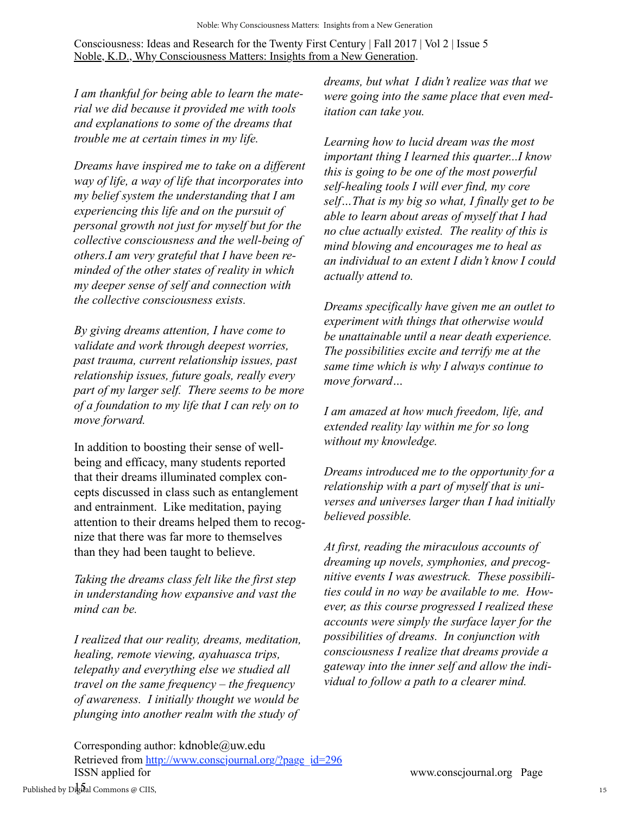*I am thankful for being able to learn the material we did because it provided me with tools and explanations to some of the dreams that trouble me at certain times in my life.*

*Dreams have inspired me to take on a different way of life, a way of life that incorporates into my belief system the understanding that I am experiencing this life and on the pursuit of personal growth not just for myself but for the collective consciousness and the well-being of others.I am very grateful that I have been reminded of the other states of reality in which my deeper sense of self and connection with the collective consciousness exists.*

*By giving dreams attention, I have come to validate and work through deepest worries, past trauma, current relationship issues, past relationship issues, future goals, really every part of my larger self. There seems to be more of a foundation to my life that I can rely on to move forward.*

In addition to boosting their sense of wellbeing and efficacy, many students reported that their dreams illuminated complex concepts discussed in class such as entanglement and entrainment. Like meditation, paying attention to their dreams helped them to recognize that there was far more to themselves than they had been taught to believe.

*Taking the dreams class felt like the first step in understanding how expansive and vast the mind can be.*

*I realized that our reality, dreams, meditation, healing, remote viewing, ayahuasca trips, telepathy and everything else we studied all travel on the same frequency – the frequency of awareness. I initially thought we would be plunging into another realm with the study of* 

*dreams, but what I didn't realize was that we were going into the same place that even meditation can take you.*

*Learning how to lucid dream was the most important thing I learned this quarter...I know this is going to be one of the most powerful self-healing tools I will ever find, my core self…That is my big so what, I finally get to be able to learn about areas of myself that I had no clue actually existed. The reality of this is mind blowing and encourages me to heal as an individual to an extent I didn't know I could actually attend to.*

*Dreams specifically have given me an outlet to experiment with things that otherwise would be unattainable until a near death experience. The possibilities excite and terrify me at the same time which is why I always continue to move forward…*

*I am amazed at how much freedom, life, and extended reality lay within me for so long without my knowledge.*

*Dreams introduced me to the opportunity for a relationship with a part of myself that is universes and universes larger than I had initially believed possible.*

*At first, reading the miraculous accounts of dreaming up novels, symphonies, and precognitive events I was awestruck. These possibilities could in no way be available to me. However, as this course progressed I realized these accounts were simply the surface layer for the possibilities of dreams. In conjunction with consciousness I realize that dreams provide a gateway into the inner self and allow the individual to follow a path to a clearer mind.*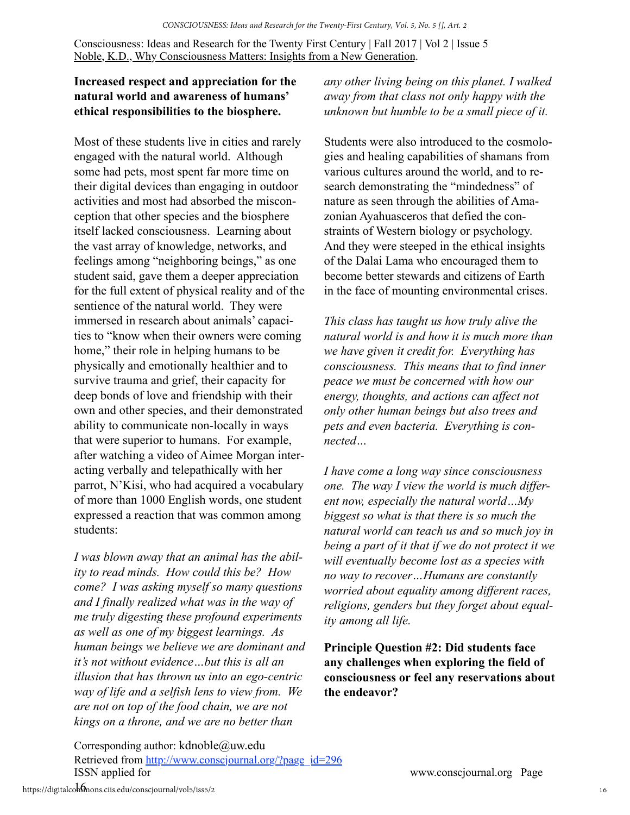### **Increased respect and appreciation for the natural world and awareness of humans' ethical responsibilities to the biosphere.**

Most of these students live in cities and rarely engaged with the natural world. Although some had pets, most spent far more time on their digital devices than engaging in outdoor activities and most had absorbed the misconception that other species and the biosphere itself lacked consciousness. Learning about the vast array of knowledge, networks, and feelings among "neighboring beings," as one student said, gave them a deeper appreciation for the full extent of physical reality and of the sentience of the natural world. They were immersed in research about animals' capacities to "know when their owners were coming home," their role in helping humans to be physically and emotionally healthier and to survive trauma and grief, their capacity for deep bonds of love and friendship with their own and other species, and their demonstrated ability to communicate non-locally in ways that were superior to humans. For example, after watching a video of Aimee Morgan interacting verbally and telepathically with her parrot, N'Kisi, who had acquired a vocabulary of more than 1000 English words, one student expressed a reaction that was common among students:

*I was blown away that an animal has the ability to read minds. How could this be? How come? I was asking myself so many questions and I finally realized what was in the way of me truly digesting these profound experiments as well as one of my biggest learnings. As human beings we believe we are dominant and it's not without evidence…but this is all an illusion that has thrown us into an ego-centric way of life and a selfish lens to view from. We are not on top of the food chain, we are not kings on a throne, and we are no better than* 

*any other living being on this planet. I walked away from that class not only happy with the unknown but humble to be a small piece of it.*

Students were also introduced to the cosmologies and healing capabilities of shamans from various cultures around the world, and to research demonstrating the "mindedness" of nature as seen through the abilities of Amazonian Ayahuasceros that defied the constraints of Western biology or psychology. And they were steeped in the ethical insights of the Dalai Lama who encouraged them to become better stewards and citizens of Earth in the face of mounting environmental crises.

*This class has taught us how truly alive the natural world is and how it is much more than we have given it credit for. Everything has consciousness. This means that to find inner peace we must be concerned with how our energy, thoughts, and actions can affect not only other human beings but also trees and pets and even bacteria. Everything is connected…*

*I have come a long way since consciousness one. The way I view the world is much different now, especially the natural world…My biggest so what is that there is so much the natural world can teach us and so much joy in being a part of it that if we do not protect it we will eventually become lost as a species with no way to recover…Humans are constantly worried about equality among different races, religions, genders but they forget about equality among all life.*

**Principle Question #2: Did students face any challenges when exploring the field of consciousness or feel any reservations about the endeavor?**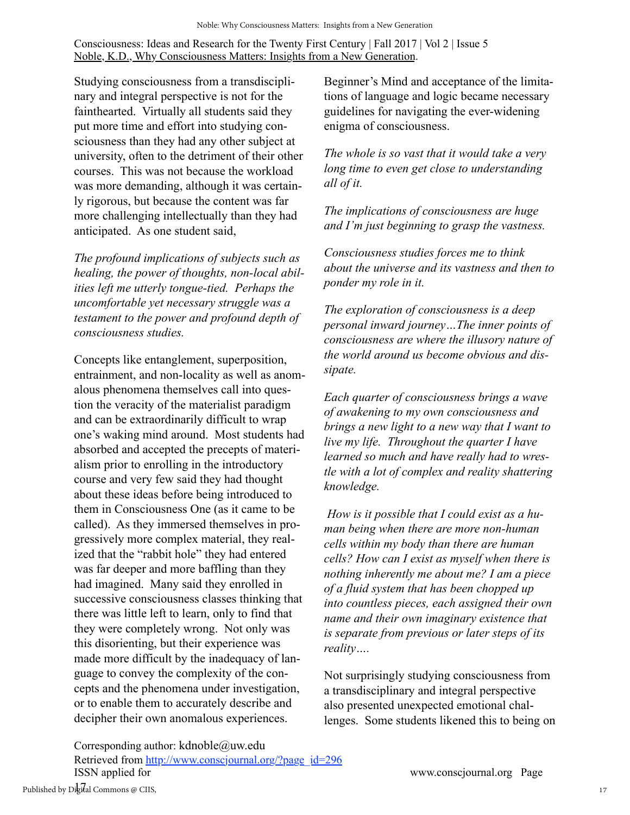Studying consciousness from a transdisciplinary and integral perspective is not for the fainthearted. Virtually all students said they put more time and effort into studying consciousness than they had any other subject at university, often to the detriment of their other courses. This was not because the workload was more demanding, although it was certainly rigorous, but because the content was far more challenging intellectually than they had anticipated. As one student said,

*The profound implications of subjects such as healing, the power of thoughts, non-local abilities left me utterly tongue-tied. Perhaps the uncomfortable yet necessary struggle was a testament to the power and profound depth of consciousness studies.*

Concepts like entanglement, superposition, entrainment, and non-locality as well as anomalous phenomena themselves call into question the veracity of the materialist paradigm and can be extraordinarily difficult to wrap one's waking mind around. Most students had absorbed and accepted the precepts of materialism prior to enrolling in the introductory course and very few said they had thought about these ideas before being introduced to them in Consciousness One (as it came to be called). As they immersed themselves in progressively more complex material, they realized that the "rabbit hole" they had entered was far deeper and more baffling than they had imagined. Many said they enrolled in successive consciousness classes thinking that there was little left to learn, only to find that they were completely wrong. Not only was this disorienting, but their experience was made more difficult by the inadequacy of language to convey the complexity of the concepts and the phenomena under investigation, or to enable them to accurately describe and decipher their own anomalous experiences.

Beginner's Mind and acceptance of the limitations of language and logic became necessary guidelines for navigating the ever-widening enigma of consciousness.

*The whole is so vast that it would take a very long time to even get close to understanding all of it.*

*The implications of consciousness are huge and I'm just beginning to grasp the vastness.*

*Consciousness studies forces me to think about the universe and its vastness and then to ponder my role in it.*

*The exploration of consciousness is a deep personal inward journey…The inner points of consciousness are where the illusory nature of the world around us become obvious and dissipate.*

*Each quarter of consciousness brings a wave of awakening to my own consciousness and brings a new light to a new way that I want to live my life. Throughout the quarter I have learned so much and have really had to wrestle with a lot of complex and reality shattering knowledge.*

 *How is it possible that I could exist as a human being when there are more non-human cells within my body than there are human cells? How can I exist as myself when there is nothing inherently me about me? I am a piece of a fluid system that has been chopped up into countless pieces, each assigned their own name and their own imaginary existence that is separate from previous or later steps of its reality….*

Not surprisingly studying consciousness from a transdisciplinary and integral perspective also presented unexpected emotional challenges. Some students likened this to being on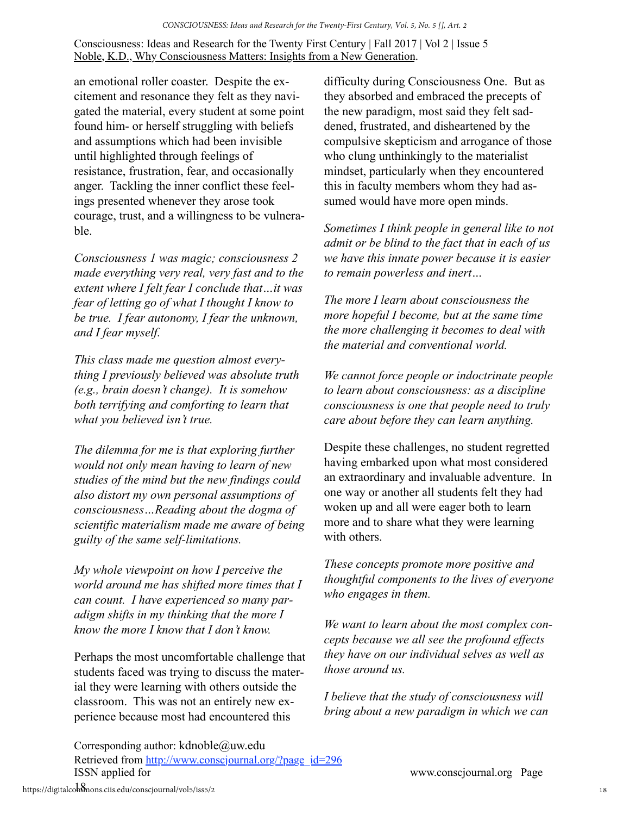an emotional roller coaster. Despite the excitement and resonance they felt as they navigated the material, every student at some point found him- or herself struggling with beliefs and assumptions which had been invisible until highlighted through feelings of resistance, frustration, fear, and occasionally anger. Tackling the inner conflict these feelings presented whenever they arose took courage, trust, and a willingness to be vulnerable.

*Consciousness 1 was magic; consciousness 2 made everything very real, very fast and to the extent where I felt fear I conclude that…it was fear of letting go of what I thought I know to be true. I fear autonomy, I fear the unknown, and I fear myself.*

*This class made me question almost everything I previously believed was absolute truth (e.g., brain doesn't change). It is somehow both terrifying and comforting to learn that what you believed isn't true.*

*The dilemma for me is that exploring further would not only mean having to learn of new studies of the mind but the new findings could also distort my own personal assumptions of consciousness…Reading about the dogma of scientific materialism made me aware of being guilty of the same self-limitations.*

*My whole viewpoint on how I perceive the world around me has shifted more times that I can count. I have experienced so many paradigm shifts in my thinking that the more I know the more I know that I don't know.*

Perhaps the most uncomfortable challenge that students faced was trying to discuss the material they were learning with others outside the classroom. This was not an entirely new experience because most had encountered this

difficulty during Consciousness One. But as they absorbed and embraced the precepts of the new paradigm, most said they felt saddened, frustrated, and disheartened by the compulsive skepticism and arrogance of those who clung unthinkingly to the materialist mindset, particularly when they encountered this in faculty members whom they had assumed would have more open minds.

*Sometimes I think people in general like to not admit or be blind to the fact that in each of us we have this innate power because it is easier to remain powerless and inert…*

*The more I learn about consciousness the more hopeful I become, but at the same time the more challenging it becomes to deal with the material and conventional world.*

*We cannot force people or indoctrinate people to learn about consciousness: as a discipline consciousness is one that people need to truly care about before they can learn anything.*

Despite these challenges, no student regretted having embarked upon what most considered an extraordinary and invaluable adventure. In one way or another all students felt they had woken up and all were eager both to learn more and to share what they were learning with others.

*These concepts promote more positive and thoughtful components to the lives of everyone who engages in them.*

*We want to learn about the most complex concepts because we all see the profound effects they have on our individual selves as well as those around us.*

*I believe that the study of consciousness will bring about a new paradigm in which we can*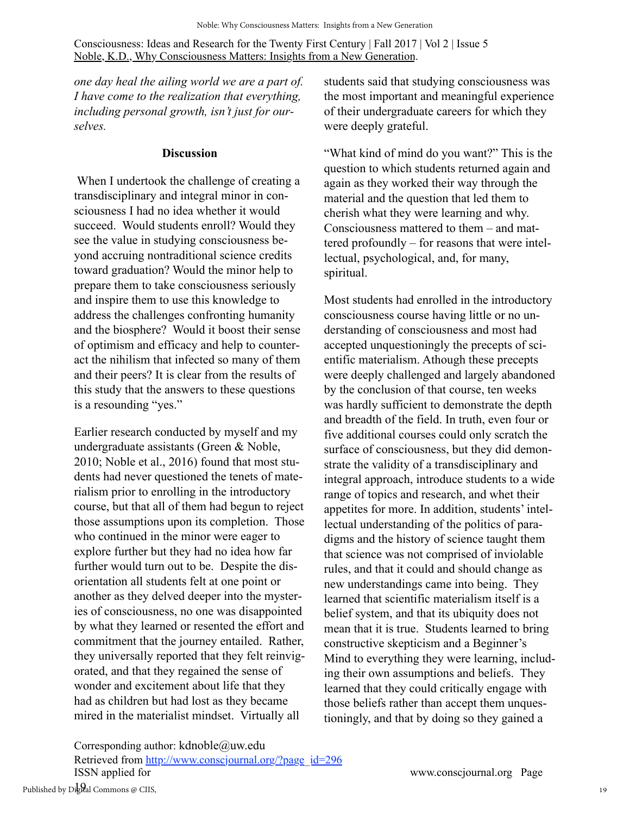*one day heal the ailing world we are a part of. I have come to the realization that everything, including personal growth, isn't just for ourselves.*

#### **Discussion**

 When I undertook the challenge of creating a transdisciplinary and integral minor in consciousness I had no idea whether it would succeed. Would students enroll? Would they see the value in studying consciousness beyond accruing nontraditional science credits toward graduation? Would the minor help to prepare them to take consciousness seriously and inspire them to use this knowledge to address the challenges confronting humanity and the biosphere? Would it boost their sense of optimism and efficacy and help to counteract the nihilism that infected so many of them and their peers? It is clear from the results of this study that the answers to these questions is a resounding "yes."

Earlier research conducted by myself and my undergraduate assistants (Green & Noble, 2010; Noble et al., 2016) found that most students had never questioned the tenets of materialism prior to enrolling in the introductory course, but that all of them had begun to reject those assumptions upon its completion. Those who continued in the minor were eager to explore further but they had no idea how far further would turn out to be. Despite the disorientation all students felt at one point or another as they delved deeper into the mysteries of consciousness, no one was disappointed by what they learned or resented the effort and commitment that the journey entailed. Rather, they universally reported that they felt reinvigorated, and that they regained the sense of wonder and excitement about life that they had as children but had lost as they became mired in the materialist mindset. Virtually all

students said that studying consciousness was the most important and meaningful experience of their undergraduate careers for which they were deeply grateful.

"What kind of mind do you want?" This is the question to which students returned again and again as they worked their way through the material and the question that led them to cherish what they were learning and why. Consciousness mattered to them – and mattered profoundly – for reasons that were intellectual, psychological, and, for many, spiritual.

Most students had enrolled in the introductory consciousness course having little or no understanding of consciousness and most had accepted unquestioningly the precepts of scientific materialism. Athough these precepts were deeply challenged and largely abandoned by the conclusion of that course, ten weeks was hardly sufficient to demonstrate the depth and breadth of the field. In truth, even four or five additional courses could only scratch the surface of consciousness, but they did demonstrate the validity of a transdisciplinary and integral approach, introduce students to a wide range of topics and research, and whet their appetites for more. In addition, students' intellectual understanding of the politics of paradigms and the history of science taught them that science was not comprised of inviolable rules, and that it could and should change as new understandings came into being. They learned that scientific materialism itself is a belief system, and that its ubiquity does not mean that it is true. Students learned to bring constructive skepticism and a Beginner's Mind to everything they were learning, including their own assumptions and beliefs. They learned that they could critically engage with those beliefs rather than accept them unquestioningly, and that by doing so they gained a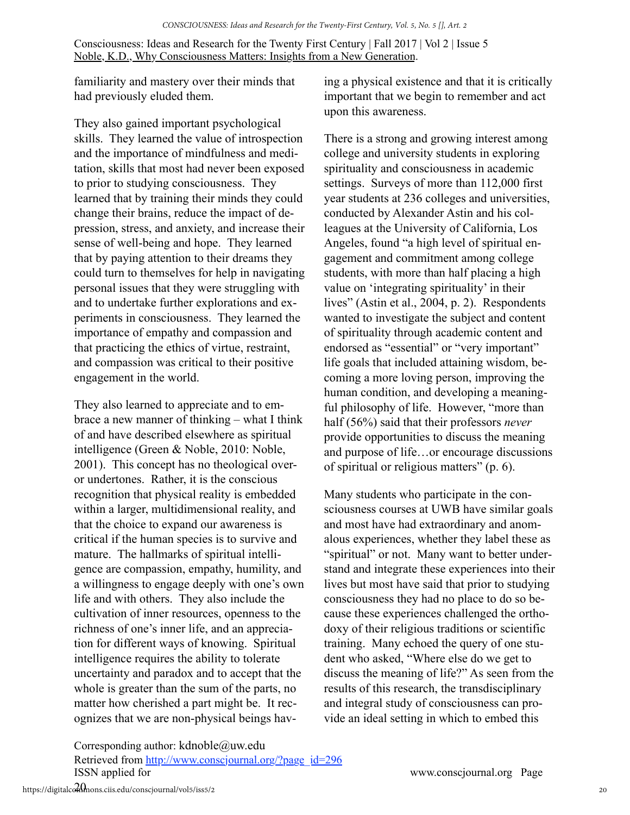familiarity and mastery over their minds that had previously eluded them.

They also gained important psychological skills. They learned the value of introspection and the importance of mindfulness and meditation, skills that most had never been exposed to prior to studying consciousness. They learned that by training their minds they could change their brains, reduce the impact of depression, stress, and anxiety, and increase their sense of well-being and hope. They learned that by paying attention to their dreams they could turn to themselves for help in navigating personal issues that they were struggling with and to undertake further explorations and experiments in consciousness. They learned the importance of empathy and compassion and that practicing the ethics of virtue, restraint, and compassion was critical to their positive engagement in the world.

They also learned to appreciate and to embrace a new manner of thinking – what I think of and have described elsewhere as spiritual intelligence (Green & Noble, 2010: Noble, 2001). This concept has no theological overor undertones. Rather, it is the conscious recognition that physical reality is embedded within a larger, multidimensional reality, and that the choice to expand our awareness is critical if the human species is to survive and mature. The hallmarks of spiritual intelligence are compassion, empathy, humility, and a willingness to engage deeply with one's own life and with others. They also include the cultivation of inner resources, openness to the richness of one's inner life, and an appreciation for different ways of knowing. Spiritual intelligence requires the ability to tolerate uncertainty and paradox and to accept that the whole is greater than the sum of the parts, no matter how cherished a part might be. It recognizes that we are non-physical beings having a physical existence and that it is critically important that we begin to remember and act upon this awareness.

There is a strong and growing interest among college and university students in exploring spirituality and consciousness in academic settings. Surveys of more than 112,000 first year students at 236 colleges and universities, conducted by Alexander Astin and his colleagues at the University of California, Los Angeles, found "a high level of spiritual engagement and commitment among college students, with more than half placing a high value on 'integrating spirituality' in their lives" (Astin et al., 2004, p. 2). Respondents wanted to investigate the subject and content of spirituality through academic content and endorsed as "essential" or "very important" life goals that included attaining wisdom, becoming a more loving person, improving the human condition, and developing a meaningful philosophy of life. However, "more than half (56%) said that their professors *never*  provide opportunities to discuss the meaning and purpose of life…or encourage discussions of spiritual or religious matters" (p. 6).

Many students who participate in the consciousness courses at UWB have similar goals and most have had extraordinary and anomalous experiences, whether they label these as "spiritual" or not. Many want to better understand and integrate these experiences into their lives but most have said that prior to studying consciousness they had no place to do so because these experiences challenged the orthodoxy of their religious traditions or scientific training. Many echoed the query of one student who asked, "Where else do we get to discuss the meaning of life?" As seen from the results of this research, the transdisciplinary and integral study of consciousness can provide an ideal setting in which to embed this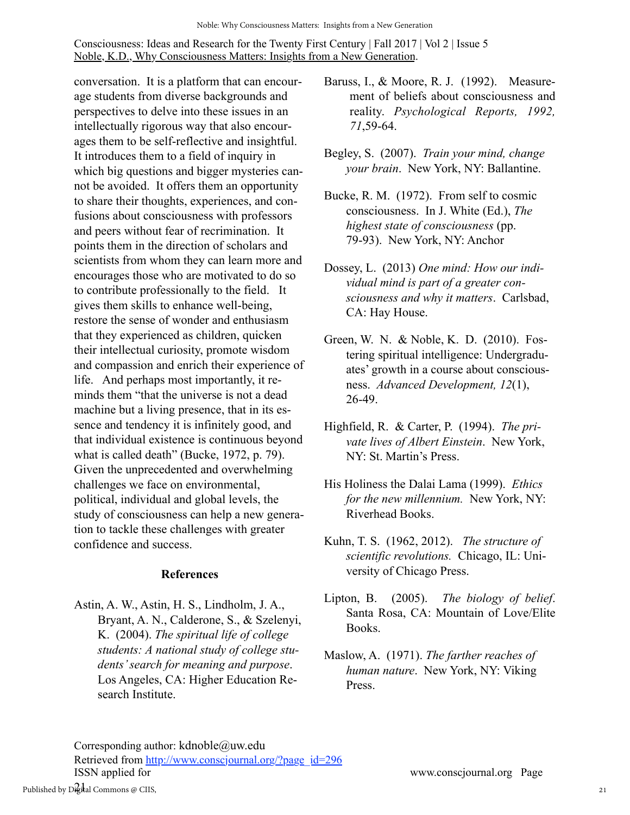conversation. It is a platform that can encourage students from diverse backgrounds and perspectives to delve into these issues in an intellectually rigorous way that also encourages them to be self-reflective and insightful. It introduces them to a field of inquiry in which big questions and bigger mysteries cannot be avoided. It offers them an opportunity to share their thoughts, experiences, and confusions about consciousness with professors and peers without fear of recrimination. It points them in the direction of scholars and scientists from whom they can learn more and encourages those who are motivated to do so to contribute professionally to the field. It gives them skills to enhance well-being, restore the sense of wonder and enthusiasm that they experienced as children, quicken their intellectual curiosity, promote wisdom and compassion and enrich their experience of life. And perhaps most importantly, it reminds them "that the universe is not a dead machine but a living presence, that in its essence and tendency it is infinitely good, and that individual existence is continuous beyond what is called death" (Bucke, 1972, p. 79). Given the unprecedented and overwhelming challenges we face on environmental, political, individual and global levels, the study of consciousness can help a new generation to tackle these challenges with greater confidence and success.

#### **References**

Astin, A. W., Astin, H. S., Lindholm, J. A., Bryant, A. N., Calderone, S., & Szelenyi, K. (2004). *The spiritual life of college students: A national study of college students' search for meaning and purpose*. Los Angeles, CA: Higher Education Research Institute.

- Baruss, I., & Moore, R. J. (1992). Measurement of beliefs about consciousness and reality. *Psychological Reports, 1992, 71*,59-64.
- Begley, S. (2007). *Train your mind, change your brain*. New York, NY: Ballantine.
- Bucke, R. M. (1972). From self to cosmic consciousness. In J. White (Ed.), *The highest state of consciousness* (pp. 79-93). New York, NY: Anchor
- Dossey, L. (2013) *One mind: How our individual mind is part of a greater consciousness and why it matters*. Carlsbad, CA: Hay House.
- Green, W. N. & Noble, K. D. (2010). Fostering spiritual intelligence: Undergraduates' growth in a course about consciousness. *Advanced Development, 12*(1), 26-49.
- Highfield, R. & Carter, P. (1994). *The private lives of Albert Einstein*. New York, NY: St. Martin's Press.
- His Holiness the Dalai Lama (1999). *Ethics for the new millennium.* New York, NY: Riverhead Books.
- Kuhn, T. S. (1962, 2012). *The structure of scientific revolutions.* Chicago, IL: University of Chicago Press.
- Lipton, B. (2005). *The biology of belief*. Santa Rosa, CA: Mountain of Love/Elite Books.
- Maslow, A. (1971). *The farther reaches of human nature*. New York, NY: Viking Press.